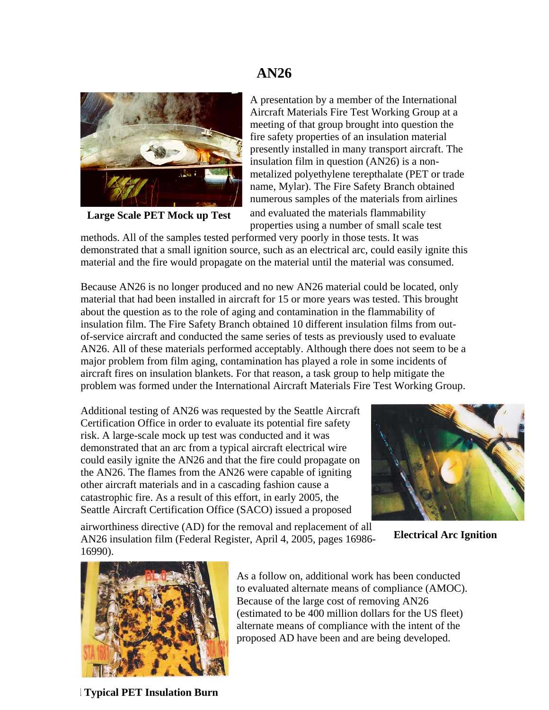### **AN26**



**Large Scale PET Mock up Test** 

A presentation by a member of the International Aircraft Materials Fire Test Working Group at a meeting of that group brought into question the fire safety properties of an insulation material presently installed in many transport aircraft. The insulation film in question (AN26) is a nonmetalized polyethylene terepthalate (PET or trade name, Mylar). The Fire Safety Branch obtained numerous samples of the materials from airlines and evaluated the materials flammability properties using a number of small scale test

methods. All of the samples tested performed very poorly in those tests. It was demonstrated that a small ignition source, such as an electrical arc, could easily ignite this material and the fire would propagate on the material until the material was consumed.

Because AN26 is no longer produced and no new AN26 material could be located, only material that had been installed in aircraft for 15 or more years was tested. This brought about the question as to the role of aging and contamination in the flammability of insulation film. The Fire Safety Branch obtained 10 different insulation films from outof-service aircraft and conducted the same series of tests as previously used to evaluate AN26. All of these materials performed acceptably. Although there does not seem to be a major problem from film aging, contamination has played a role in some incidents of aircraft fires on insulation blankets. For that reason, a task group to help mitigate the problem was formed under the International Aircraft Materials Fire Test Working Group.

Additional testing of AN26 was requested by the Seattle Aircraft Certification Office in order to evaluate its potential fire safety risk. A large-scale mock up test was conducted and it was demonstrated that an arc from a typical aircraft electrical wire could easily ignite the AN26 and that the fire could propagate on the AN26. The flames from the AN26 were capable of igniting other aircraft materials and in a cascading fashion cause a catastrophic fire. As a result of this effort, in early 2005, the Seattle Aircraft Certification Office (SACO) issued a proposed



airworthiness directive (AD) for the removal and replacement of all AN26 insulation film (Federal Register, April 4, 2005, pages 16986- 16990).

**Electrical Arc Ignition** 



As a follow on, additional work has been conducted to evaluated alternate means of compliance ( AMOC). Because of the large cost of removing AN26 (estimated to be 400 million dollars for the US fleet) alternate means of compliance with the intent of the proposed AD have been and are being develop ed.

**l Typical PET Insulation Burn**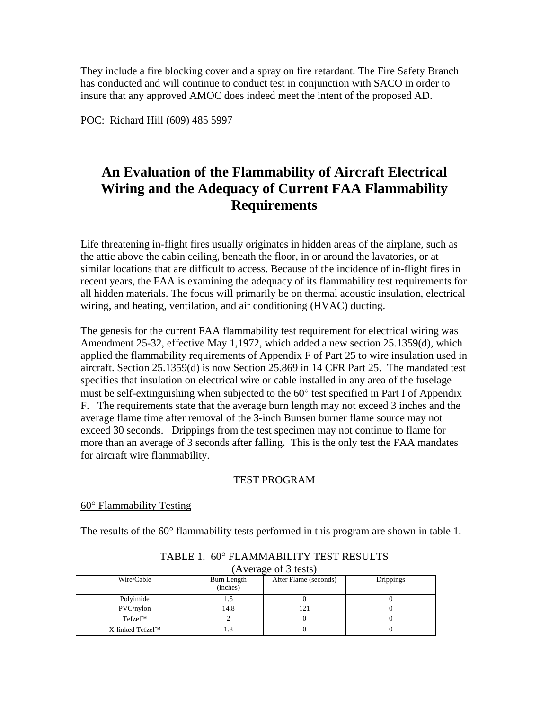They include a fire blocking cover and a spray on fire retardant. The Fire Safety Bran ch has conducted and will continue to conduct test in conjunction with SACO in order to insure that any approved AMOC does indeed meet the intent of the proposed AD.

POC: Richard Hill (609) 485 5997

## **An Evaluation of the Flammability of Aircraft Electrical Wiring and the Adequacy of Current FAA Flammability Requirements**

Life threatening in-flight fires usually originates in hidden areas of the airplane, such as similar locations that are difficult to access. Because of the incidence of in-flight fires in the attic above the cabin ceiling, beneath the floor, in or around the lavatories, or at recent years, the FAA is examining the adequacy of its flammability test requirements for all hidden materials. The focus will primarily be on thermal acoustic insulation, electrical wiring, and heating, ventilation, and air conditioning (HVAC) ducting.

The genesis for the current FAA flammability test requirement for electrical wiring was must be self-extinguishing when subjected to the 60° test specified in Part I of Appendix more than an average of 3 seconds after falling. This is the only test the FAA mandates Amendment 25-32, effective May 1,1972, which added a new section 25.1359(d), which applied the flammability requirements of Appendix F of Part 25 to wire insulation used in aircraft. Section 25.1359(d) is now Section 25.869 in 14 CFR Part 25. The mandated test specifies that insulation on electrical wire or cable installed in any area of the fuselage F. The requirements state that the average burn length may not exceed 3 inches and the average flame time after removal of the 3-inch Bunsen burner flame source may not exceed 30 seconds. Drippings from the test specimen may not continue to flame for for aircraft wire flammability.

#### TEST PROGRAM

#### 0° Flammability Testing 6

The results of the  $60^\circ$  flammability tests performed in this program are shown in table 1.

| (Average of 3 tests) |                         |                       |                  |  |
|----------------------|-------------------------|-----------------------|------------------|--|
| Wire/Cable           | Burn Length<br>(inches) | After Flame (seconds) | <b>Drippings</b> |  |
| Polyimide            |                         |                       |                  |  |
| $PVC/n$ ylon         | 14.8                    |                       |                  |  |
| $Tefzel^{TM}$        |                         |                       |                  |  |
| X-linked Tefzel™     |                         |                       |                  |  |

TABLE 1. 60° FLAMMABILITY TEST RESULTS  $(A_{\text{varo,ceo}} \text{ of } 2 \text{ to } 3)$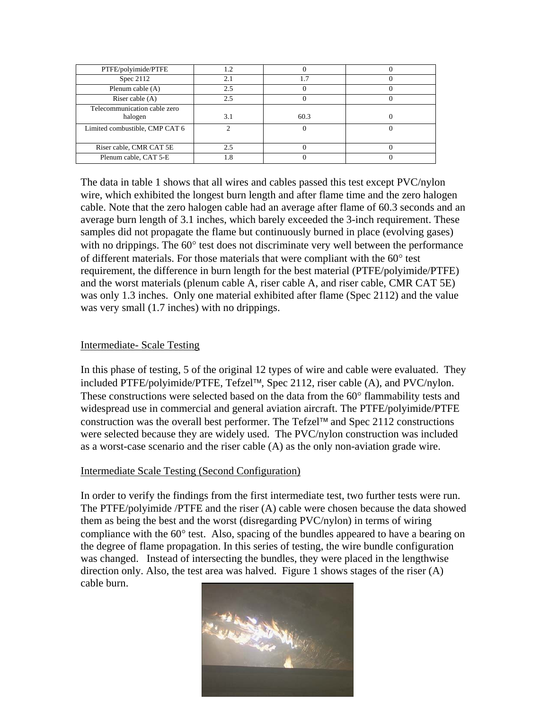| PTFE/polyimide/PTFE            | 1.2 |      |  |
|--------------------------------|-----|------|--|
| Spec $2112$                    | 2.1 | 7.،  |  |
| Plenum cable (A)               | 2.5 |      |  |
| Riser cable $(A)$              | 25  |      |  |
| Telecommunication cable zero   |     |      |  |
| halogen                        | 3.1 | 60.3 |  |
| Limited combustible, CMP CAT 6 |     |      |  |
|                                |     |      |  |
| Riser cable, CMR CAT 5E        | 25  |      |  |
| Plenum cable, CAT 5-E          | 1.8 |      |  |

The data in table 1 shows that all wires and cables passed this test except PVC/nylon wire, which exhibited the longest burn length and after flame time and the zero halogen with no drippings. The 60° test does not discriminate very well between the performance requirement, the difference in burn length for the best material (PTFE/polyimide/PTFE) cable. Note that the zero halogen cable had an average after flame of 60.3 seconds and an average burn length of 3.1 inches, which barely exceeded the 3-inch requirement. These samples did not propagate the flame but continuously burned in place (evolving gases) of different materials. For those materials that were compliant with the 60° test and the worst materials (plenum cable A, riser cable A, and riser cable, CMR CAT 5E) was only 1.3 inches. Only one material exhibited after flame (Spec 2112) and the value was very small (1.7 inches) with no drippings.

#### **Intermediate- Scale Testing**

In this phase of testing, 5 of the original 12 types of wire and cable were evaluated. They included PTFE/polyimide/PTFE, Tefzel™, Spec 2112, riser cable (A), and PVC/nylon. These constructions were selected based on the data from the 60° flammability tests and widespread use in commercial and general aviation aircraft. The PTFE/polyimide/PTFE construction was the overall best performer. The Tefzel™ and Spec 2112 constructions were selected because they are widely used. The PVC/nylon construction was included as a worst-case scenario and the riser cable (A) as the only non-aviation grade wire.

#### **Intermediate Scale Testing (Second Configuration)**

In order to verify the findings from the first intermediate test, two further tests were run. compliance with the 60° test. Also, spacing of the bundles appeared to have a bearing on The PTFE/polyimide /PTFE and the riser (A) cable were chosen because the data showed them as being the best and the worst (disregarding PVC/nylon) in terms of wiring the degree of flame propagation. In this series of testing, the wire bundle configuration was changed. Instead of intersecting the bundles, they were placed in the lengthwise direction only. Also, the test area was halved. Figure 1 shows stages of the riser (A) cable burn.

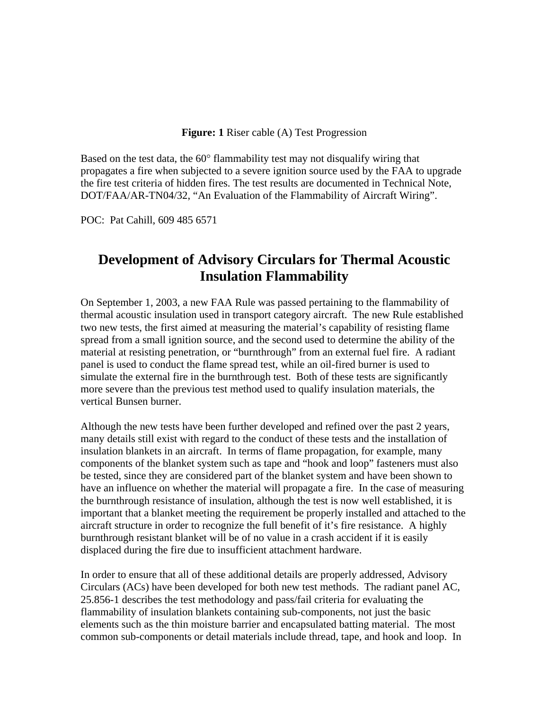#### **Figure: 1** Riser cable (A) Test Progression

Based on the test data, the  $60^\circ$  flammability test may not disqualify wiring that propagates a fire when subjected to a severe ignition source used by the FAA to upgrade the fire test criteria of hidden fires. The test results are documented in Technical Note, DOT/FAA/AR-TN04/32, "An Evaluation of the Flammability of Aircraft Wiring".

POC: Pat Cahill, 609 485 6571

### **Development of Advisory Circulars for Thermal Acoustic Insulation Flammability**

On September 1, 2003, a new FAA Rule was passed pertaining to the flammability of thermal acoustic insulation used in transport category aircraft. The new Rule established simulate the external fire in the burnthrough test. Both of these tests are significantly two new tests, the first aimed at measuring the material's capability of resisting flame spread from a small ignition source, and the second used to determine the ability of the material at resisting penetration, or "burnthrough" from an external fuel fire. A radiant panel is used to conduct the flame spread test, while an oil-fired burner is used to more severe than the previous test method used to qualify insulation materials, the vertical Bunsen burner.

Although the new tests have been further developed and refined over the past 2 years, components of the blanket system such as tape and "hook and loop" fasteners must also have an influence on whether the material will propagate a fire. In the case of measuring important that a blanket meeting the requirement be properly installed and attached to the many details still exist with regard to the conduct of these tests and the installation of insulation blankets in an aircraft. In terms of flame propagation, for example, many be tested, since they are considered part of the blanket system and have been shown to the burnthrough resistance of insulation, although the test is now well established, it is aircraft structure in order to recognize the full benefit of it's fire resistance. A highly burnthrough resistant blanket will be of no value in a crash accident if it is easily displaced during the fire due to insufficient attachment hardware.

In order to ensure that all of these additional details are properly addressed, Advisory , Circulars (ACs) have been developed for both new test methods. The radiant panel AC elements such as the thin moisture barrier and encapsulated batting material. The most 25.856-1 describes the test methodology and pass/fail criteria for evaluating the flammability of insulation blankets containing sub-components, not just the basic common sub-components or detail materials include thread, tape, and hook and loop. In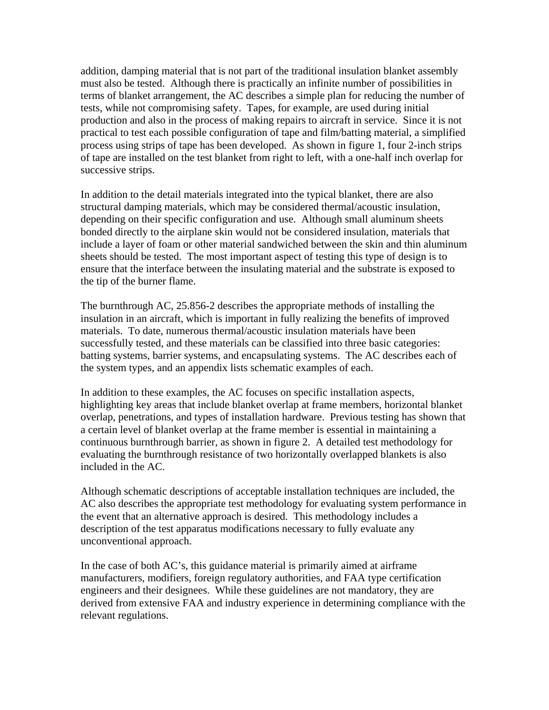addition, damping material that is not part of the traditional insulation blanket assembly must also be tested. Although there is practically an infinite number of possibilities in terms of blanket arrangement, the AC describes a simple plan for reducing the number o f tests, while not compromising safety. Tapes, for example, are used during initial production and also in the process of making repairs to aircraft in service. Since it is not practical to test each possible configuration of tape and film/batting material, a simplified process using strips of tape has been developed. As shown in figure 1, four 2-inch strips of tape are installed on the test blanket from right to left, with a one-half inch overlap for successive strips.

In addition to the detail materials integrated into the typical blanket, there are also structural damping materials, which may be considered thermal/acoustic insulation, include a layer of foam or other material sandwiched between the skin and thin aluminum depending on their specific configuration and use. Although small aluminum sheets bonded directly to the airplane skin would not be considered insulation, materials that sheets should be tested. The most important aspect of testing this type of design is to ensure that the interface between the insulating material and the substrate is exposed to the tip of the burner flame.

The burnthrough AC, 25.856-2 describes the appropriate methods of installing the insulation in an aircraft, which is important in fully realizing the benefits of improved successfully tested, and these materials can be classified into three basic categories: batting systems, barrier systems, and encapsulating systems. The AC describes each of materials. To date, numerous thermal/acoustic insulation materials have been the system types, and an appendix lists schematic examples of each.

In addition to these examples, the AC focuses on specific installation aspects, highlighting key areas that include blanket overlap at frame members, horizontal blanket continuous burnthrough barrier, as shown in figure 2. A detailed test methodology for overlap, penetrations, and types of installation hardware. Previous testing has shown that a certain level of blanket overlap at the frame member is essential in maintaining a evaluating the burnthrough resistance of two horizontally overlapped blankets is also included in the AC.

Although schematic descriptions of acceptable installation techniques are included, the AC also describes the appropriate test methodology for evaluating system performance in the event that an alternative approach is desired. This methodology includes a description of the test apparatus modifications necessary to fully evaluate any unconventional approach.

In the case of both AC's, this guidance material is primarily aimed at airframe derived from extensive FAA and industry experience in determining compliance with the manufacturers, modifiers, foreign regulatory authorities, and FAA type certification engineers and their designees. While these guidelines are not mandatory, they are relevant regulations.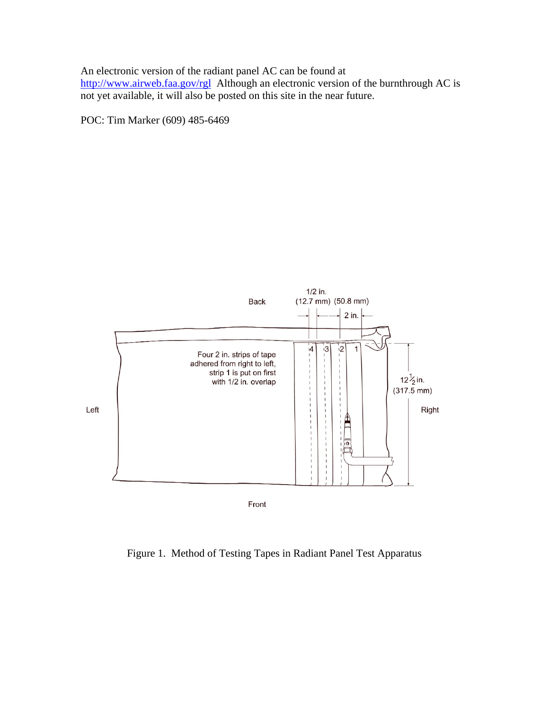An electronic version of the radiant panel AC can be found at <http://www.airweb.faa.gov/rgl>Although an electronic version of the burnthrough AC is not yet available, it will also be posted on this site in the near future.

POC: Tim Marker (609) 485-6469



Figure 1. Method of Testing Tapes in Radiant Panel Test Apparatus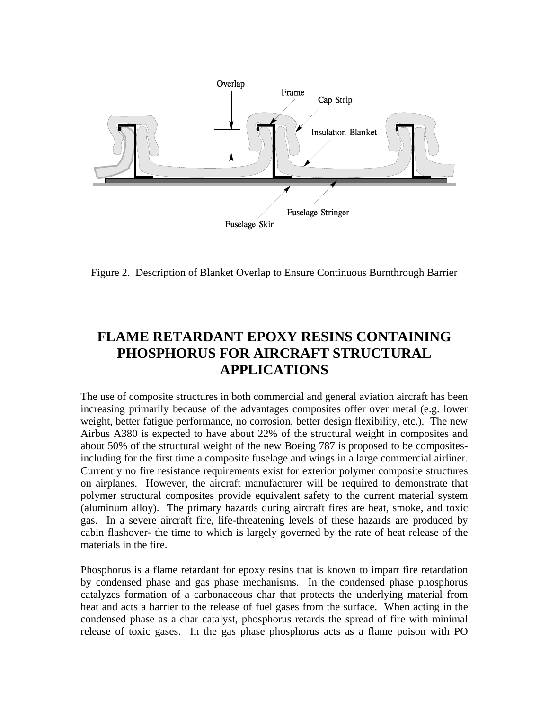

Figure 2. Description of Blanket Overlap to Ensure Continuous Burnthrough Barrier

# **FLAME RETARDANT EPOXY RESINS CONTAINING PHOSPHORUS FOR AIRCRAFT STRUCTURAL APPLICATIONS**

The use of composite structures in both commercial and general aviation aircraft has been increasing primarily because of the advantages composites offer over metal (e.g. lower weight, better fatigue performance, no corrosion, better design flexibility, etc.). The new Airbus A380 is expected to have about 22% of the structural weight in composites and about 50% of the structural weight of the new Boeing 787 is proposed to be compositesincluding for the first time a composite fuselage and wings in a large commercial airliner. Currently no fire resistance requirements exist for exterior polymer composite structures on airplanes. However, the aircraft manufacturer will be required to demonstrate that polymer structural composites provide equivalent safety to the current material system (aluminum alloy). The primary hazards during aircraft fires are heat, smoke, and toxic gas. In a severe aircraft fire, life-threatening levels of these hazards are produced by cabin flashover- the time to which is largely governed by the rate of heat release of the materials in the fire.

Phosphorus is a flame retardant for epoxy resins that is known to impart fire retardation by condensed phase and gas phase mechanisms. In the condensed phase phosphorus catalyzes formation of a carbonaceous char that protects the underlying material from heat and acts a barrier to the release of fuel gases from the surface. When acting in the condensed phase as a char catalyst, phosphorus retards the spread of fire with minimal release of toxic gases. In the gas phase phosphorus acts as a flame poison with PO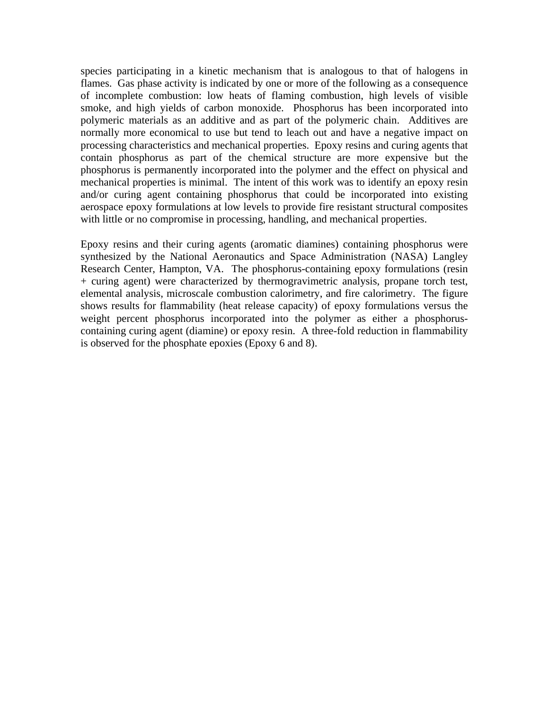species participating in a kinetic mechanism that is analogous to that of halogens in flames. Gas phase activity is indicated by one or more of the following as a consequence of incomplete combustion: low heats of flaming combustion, high levels of visible smoke, and high yields of carbon monoxide. Phosphorus has been incorporated into polymeric materials as an additive and as part of the polymeric chain. Additives are normally more economical to use but tend to leach out and have a negative impact on processing characteristics and mechanical properties. Epoxy resins and curing agents that contain phosphorus as part of the chemical structure are more expensive but the phosphorus is permanently incorporated into the polymer and the effect on physical and mechanical properties is minimal. The intent of this work was to identify an epoxy resin and/or curing agent containing phosphorus that could be incorporated into existing aerospace epoxy formulations at low levels to provide fire resistant structural composites with little or no compromise in processing, handling, and mechanical properties.

Epoxy resins and their curing agents (aromatic diamines) containing phosphorus were synthesized by the National Aeronautics and Space Administration (NASA) Langley Research Center, Hampton, VA. The phosphorus-containing epoxy formulations (resin + curing agent) were characterized by thermogravimetric analysis, propane torch test, elemental analysis, microscale combustion calorimetry, and fire calorimetry. The figure shows results for flammability (heat release capacity) of epoxy formulations versus the weight percent phosphorus incorporated into the polymer as either a phosphoruscontaining curing agent (diamine) or epoxy resin. A three-fold reduction in flammability is observed for the phosphate epoxies (Epoxy 6 and 8).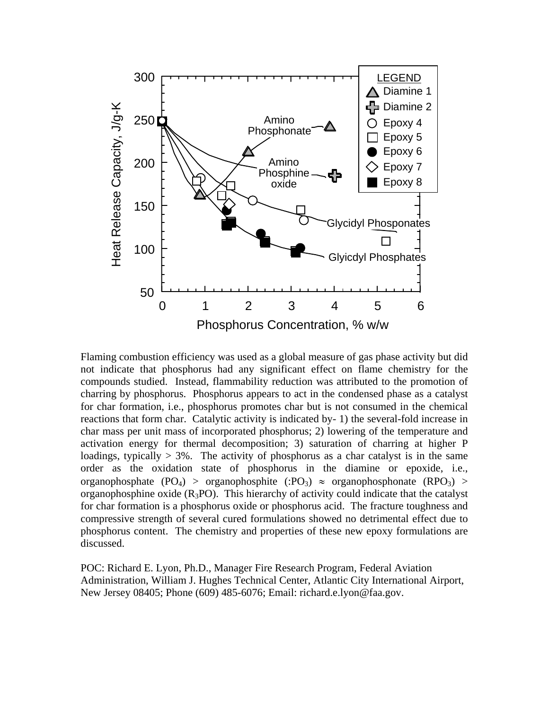

Flaming combustion efficiency was used as a global measure of gas phase activity but did not indicate that phosphorus had any significant effect on flame chemistry for the compounds studied. Instead, flammability reduction was attributed to the promotion of charring by phosphorus. Phosphorus appears to act in the condensed phase as a catalyst for char formation, i.e., phosphorus promotes char but is not consumed in the chemical reactions that form char. Catalytic activity is indicated by- 1) the several-fold increase in char mass per unit mass of incorporated phosphorus; 2) lowering of the temperature and activation energy for thermal decomposition; 3) saturation of charring at higher P loadings, typically  $> 3\%$ . The activity of phosphorus as a char catalyst is in the same order as the oxidation state of phosphorus in the diamine or epoxide, i.e., organophosphate (PO<sub>4</sub>) > organophosphite (:PO<sub>3</sub>)  $\approx$  organophosphonate (RPO<sub>3</sub>) > organophosphine oxide  $(R_3PO)$ . This hierarchy of activity could indicate that the catalyst for char formation is a phosphorus oxide or phosphorus acid. The fracture toughness and compressive strength of several cured formulations showed no detrimental effect due to phosphorus content. The chemistry and properties of these new epoxy formulations are discussed.

POC: Richard E. Lyon, Ph.D., Manager Fire Research Program, Federal Aviation Administration, William J. Hughes Technical Center, Atlantic City International Airport, New Jersey 08405; Phone (609) 485-6076; Email: richard.e.lyon@faa.gov.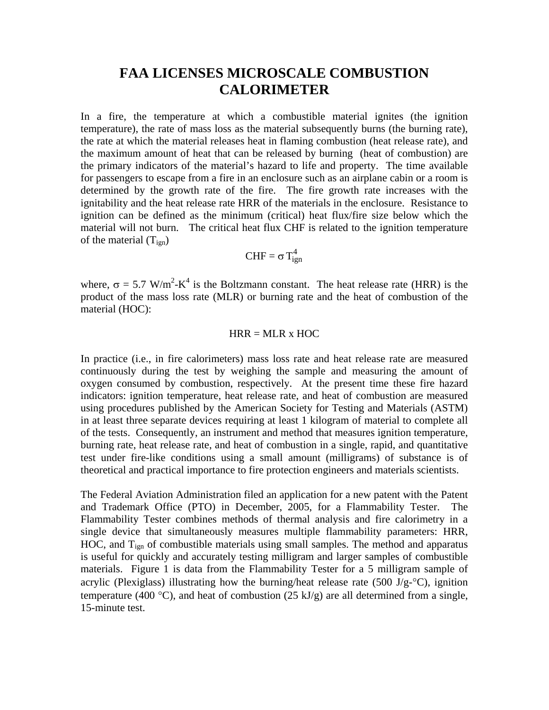### **FAA LICENSES MICROSCALE COMBUSTION CALORIMETER**

In a fire, the temperature at which a combustible material ignites (the ignition temperature), the rate of mass loss as the material subsequently burns (the burning rate), the rate at which the material releases heat in flaming combustion (heat release rate), and the maximum amount of heat that can be released by burning (heat of combustion) are the primary indicators of the material's hazard to life and property. The time available for passengers to escape from a fire in an enclosure such as an airplane cabin or a room is determined by the growth rate of the fire. The fire growth rate increases with the ignitability and the heat release rate HRR of the materials in the enclosure. Resistance to ignition can be defined as the minimum (critical) heat flux/fire size below which the material will not burn. The critical heat flux CHF is related to the ignition temperature of the material  $(T_{\text{ign}})$ 

$$
CHF = \sigma T_{ign}^4
$$

where,  $\sigma = 5.7 \text{ W/m}^2\text{-K}^4$  is the Boltzmann constant. The heat release rate (HRR) is the product of the mass loss rate (MLR) or burning rate and the heat of combustion of the material (HOC):

#### $HRR = MLR \times HOC$

In practice (i.e., in fire calorimeters) mass loss rate and heat release rate are measured continuously during the test by weighing the sample and measuring the amount of oxygen consumed by combustion, respectively. At the present time these fire hazard indicators: ignition temperature, heat release rate, and heat of combustion are measured using procedures published by the American Society for Testing and Materials (ASTM) in at least three separate devices requiring at least 1 kilogram of material to complete all of the tests. Consequently, an instrument and method that measures ignition temperature, burning rate, heat release rate, and heat of combustion in a single, rapid, and quantitative test under fire-like conditions using a small amount (milligrams) of substance is of theoretical and practical importance to fire protection engineers and materials scientists.

The Federal Aviation Administration filed an application for a new patent with the Patent and Trademark Office (PTO) in December, 2005, for a Flammability Tester. The Flammability Tester combines methods of thermal analysis and fire calorimetry in a single device that simultaneously measures multiple flammability parameters: HRR, HOC, and T<sub>ign</sub> of combustible materials using small samples. The method and apparatus is useful for quickly and accurately testing milligram and larger samples of combustible materials. Figure 1 is data from the Flammability Tester for a 5 milligram sample of acrylic (Plexiglass) illustrating how the burning/heat release rate (500 J/g- $\degree$ C), ignition temperature (400 °C), and heat of combustion (25 kJ/g) are all determined from a single, 15-minute test.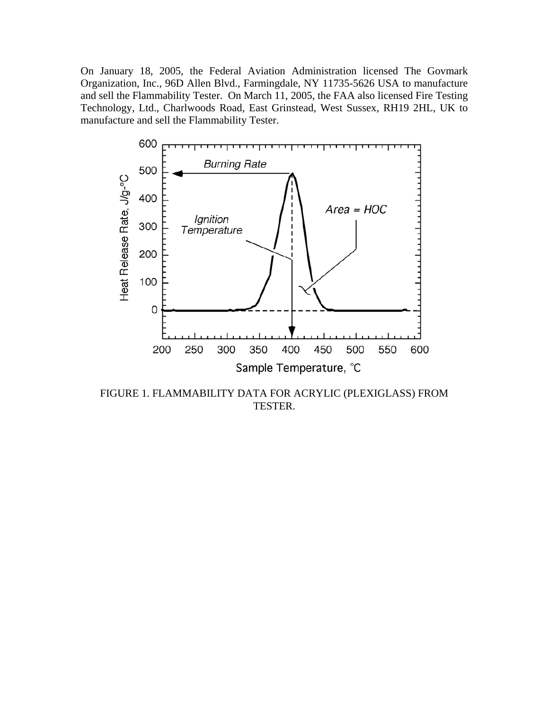On January 18, 2005, the Federal Aviation Administration licensed The Govmark Organization, Inc., 96D Allen Blvd., Farmingdale, NY 11735-5626 USA to manufacture and sell the Flammability Tester. On March 11, 2005, the FAA also licensed Fire Testing Technology, Ltd., Charlwoods Road, East Grinstead, West Sussex, RH19 2HL, UK to manufacture and sell the Flammability Tester.



FIGURE 1. FLAMMABILITY DATA FOR ACRYLIC (PLEXIGLASS) FROM TESTER.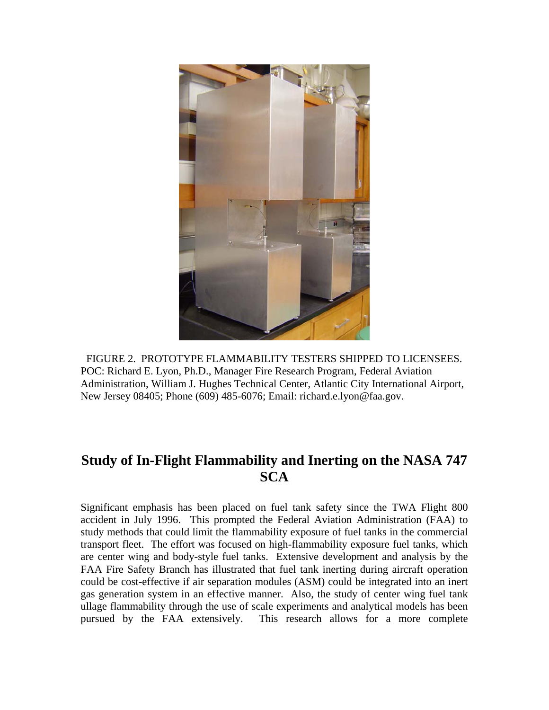

FIGURE 2. PROTOTYPE FLAMMABILITY TESTERS SHIPPED TO LICENSEES. POC: Richard E. Lyon, Ph.D., Manager Fire Research Program, Federal Aviation Administration, William J. Hughes Technical Center, Atlantic City International Airport, New Jersey 08405; Phone (609) 485-6076; Email: richard.e.lyon@faa.gov.

## **Study of In-Flight Flammability and Inerting on the NASA 747 SCA**

Significant emphasis has been placed on fuel tank safety since the TWA Flight 800 accident in July 1996. This prompted the Federal Aviation Administration (FAA) to study methods that could limit the flammability exposure of fuel tanks in the commercial transport fleet. The effort was focused on high-flammability exposure fuel tanks, which are center wing and body-style fuel tanks. Extensive development and analysis by the FAA Fire Safety Branch has illustrated that fuel tank inerting during aircraft operation could be cost-effective if air separation modules (ASM) could be integrated into an inert gas generation system in an effective manner. Also, the study of center wing fuel tank ullage flammability through the use of scale experiments and analytical models has been pursued by the FAA extensively. This research allows for a more complete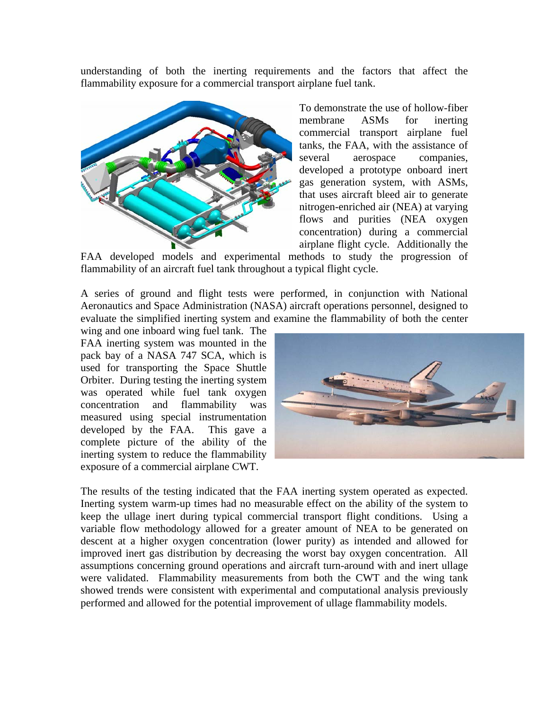understanding of both the inerting requirements and the factors that affect the flammability exposure for a commercial transport airplane fuel tank.



To demonstrate the use of hollow-fiber membrane ASMs for inerting commercial transport airplane fuel tanks, the FAA, with the assistance of several aerospace companies, developed a prototype onboard inert gas generation system, with ASMs, that uses aircraft bleed air to generate nitrogen-enriched air (NEA) at varying flows and purities (NEA oxygen concentration) during a commercial airplane flight cycle. Additionally the

FAA developed models and experimental methods to study the progression of flammability of an aircraft fuel tank throughout a typical flight cycle.

A series of ground and flight tests were performed, in conjunction with National Aeronautics and Space Administration (NASA) aircraft operations personnel, designed to evaluate the simplified inerting system and examine the flammability of both the center

wing and one inboard wing fuel tank. The FAA inerting system was mounted in the pack bay of a NASA 747 SCA, which is used for transporting the Space Shuttle Orbiter. During testing the inerting system was operated while fuel tank oxygen concentration and flammability was measured using special instrumentation developed by the FAA. This gave a complete picture of the ability of the inerting system to reduce the flammability exposure of a commercial airplane CWT.



The results of the testing indicated that the FAA inerting system operated as expected. Inerting system warm-up times had no measurable effect on the ability of the system to keep the ullage inert during typical commercial transport flight conditions. Using a variable flow methodology allowed for a greater amount of NEA to be generated on descent at a higher oxygen concentration (lower purity) as intended and allowed for improved inert gas distribution by decreasing the worst bay oxygen concentration. All assumptions concerning ground operations and aircraft turn-around with and inert ullage were validated. Flammability measurements from both the CWT and the wing tank showed trends were consistent with experimental and computational analysis previously performed and allowed for the potential improvement of ullage flammability models.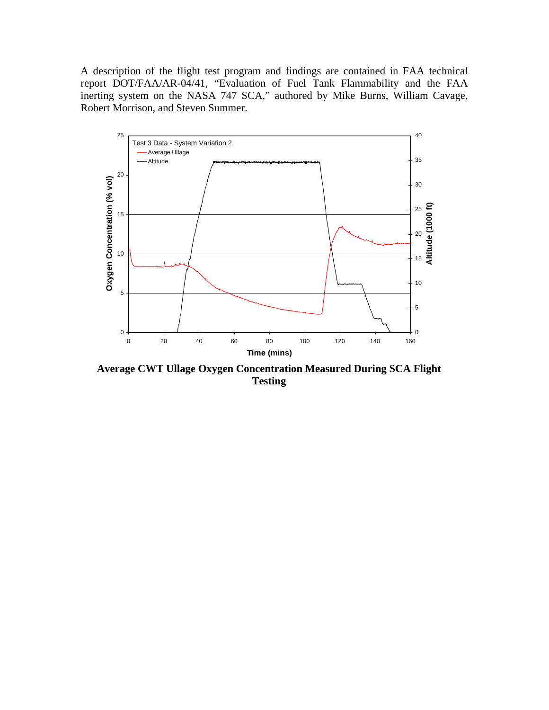A description of the flight test program and findings are contained in FAA technical report DOT/FAA/AR-04/41, "Evaluation of Fuel Tank Flammability and the FAA inerting system on the NASA 747 SCA," authored by Mike Burns, William Cavage, Robert Morrison, and Steven Summer.



**Average CWT Ullage Oxygen Concentration Measured During SCA Flight Testing**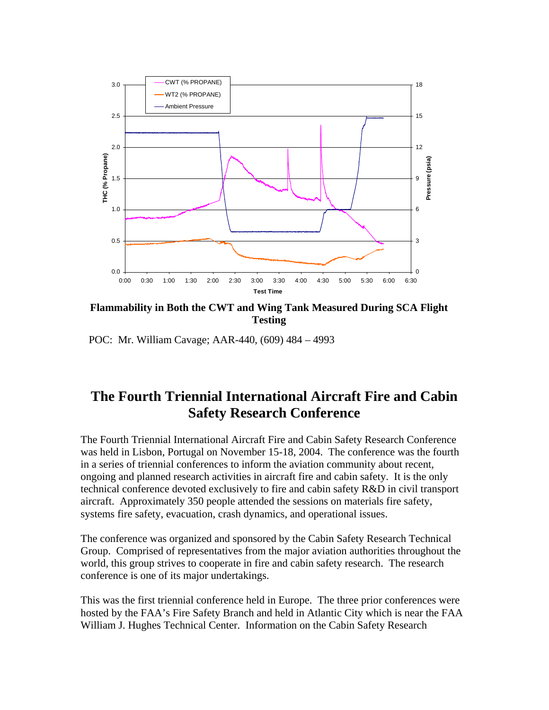

**Flammability in Both the CWT and Wing Tank Measured During SCA Flight Testing** 

POC: Mr. William Cavage; AAR-440, (609) 484 – 4993

### **The Fourth Triennial International Aircraft Fire and Cabin Safety Research Conference**

The Fourth Triennial International Aircraft Fire and Cabin Safety Research Conference was held in Lisbon, Portugal on November 15-18, 2004. The conference was the fourth in a series of triennial conferences to inform the aviation community about recent, ongoing and planned research activities in aircraft fire and cabin safety. It is the only technical conference devoted exclusively to fire and cabin safety R&D in civil transport aircraft. Approximately 350 people attended the sessions on materials fire safety, systems fire safety, evacuation, crash dynamics, and operational issues.

The conference was organized and sponsored by the Cabin Safety Research Technical Group. Comprised of representatives from the major aviation authorities throughout the world, this group strives to cooperate in fire and cabin safety research. The research conference is one of its major undertakings.

This was the first triennial conference held in Europe. The three prior conferences were hosted by the FAA's Fire Safety Branch and held in Atlantic City which is near the FAA William J. Hughes Technical Center. Information on the Cabin Safety Research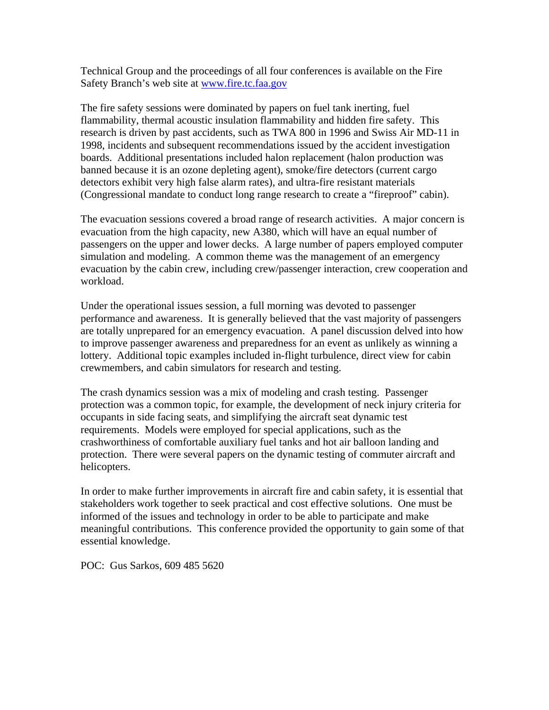Technical Group and the proceedings of all four conferences is available on the Fire Safety Branch's web site at [www.fire.tc.faa.gov](http://www.fire.tc.faa.gov/)

The fire safety sessions were dominated by papers on fuel tank inerting, fuel flammability, thermal acoustic insulation flammability and hidden fire safety. This research is driven by past accidents, such as TWA 800 in 1996 and Swiss Air MD-11 in 1998, incidents and subsequent recommendations issued by the accident investigation boards. Additional presentations included halon replacement (halon production was banned because it is an ozone depleting agent), smoke/fire detectors (current cargo detectors exhibit very high false alarm rates), and ultra-fire resistant materials (Congressional mandate to conduct long range research to create a "fireproof" cabin).

The evacuation sessions covered a broad range of research activities. A major concern is evacuation from the high capacity, new A380, which will have an equal number of passengers on the upper and lower decks. A large number of papers employed computer simulation and modeling. A common theme was the management of an emergency evacuation by the cabin crew, including crew/passenger interaction, crew cooperation and workload.

Under the operational issues session, a full morning was devoted to passenger performance and awareness. It is generally believed that the vast majority of passengers are totally unprepared for an emergency evacuation. A panel discussion delved into how to improve passenger awareness and preparedness for an event as unlikely as winning a lottery. Additional topic examples included in-flight turbulence, direct view for cabin crewmembers, and cabin simulators for research and testing.

The crash dynamics session was a mix of modeling and crash testing. Passenger protection was a common topic, for example, the development of neck injury criteria for occupants in side facing seats, and simplifying the aircraft seat dynamic test requirements. Models were employed for special applications, such as the crashworthiness of comfortable auxiliary fuel tanks and hot air balloon landing and protection. There were several papers on the dynamic testing of commuter aircraft and helicopters.

In order to make further improvements in aircraft fire and cabin safety, it is essential that stakeholders work together to seek practical and cost effective solutions. One must be informed of the issues and technology in order to be able to participate and make meaningful contributions. This conference provided the opportunity to gain some of that essential knowledge.

POC: Gus Sarkos, 609 485 5620